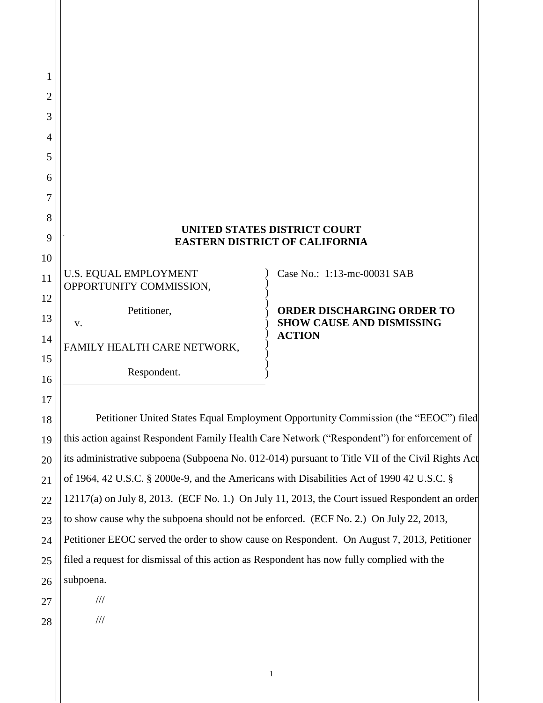| 1        |                                                                                                  |  |  |  |
|----------|--------------------------------------------------------------------------------------------------|--|--|--|
| 2        |                                                                                                  |  |  |  |
| 3        |                                                                                                  |  |  |  |
| 4        |                                                                                                  |  |  |  |
| 5        |                                                                                                  |  |  |  |
| 6        |                                                                                                  |  |  |  |
| 7        |                                                                                                  |  |  |  |
| 8        | <b>UNITED STATES DISTRICT COURT</b>                                                              |  |  |  |
| 9        | <b>EASTERN DISTRICT OF CALIFORNIA</b>                                                            |  |  |  |
| 10       |                                                                                                  |  |  |  |
| 11       | Case No.: 1:13-mc-00031 SAB<br><b>U.S. EQUAL EMPLOYMENT</b><br>OPPORTUNITY COMMISSION,           |  |  |  |
| 12       | Petitioner,<br><b>ORDER DISCHARGING ORDER TO</b>                                                 |  |  |  |
| 13       | <b>SHOW CAUSE AND DISMISSING</b><br>V.<br><b>ACTION</b>                                          |  |  |  |
| 14       | FAMILY HEALTH CARE NETWORK,                                                                      |  |  |  |
| 15<br>16 | Respondent.                                                                                      |  |  |  |
| 17       |                                                                                                  |  |  |  |
| 18       | Petitioner United States Equal Employment Opportunity Commission (the "EEOC") filed              |  |  |  |
| 19       | this action against Respondent Family Health Care Network ("Respondent") for enforcement of      |  |  |  |
| 20       | its administrative subpoena (Subpoena No. 012-014) pursuant to Title VII of the Civil Rights Act |  |  |  |
| 21       | of 1964, 42 U.S.C. § 2000e-9, and the Americans with Disabilities Act of 1990 42 U.S.C. §        |  |  |  |
| 22       | $12117(a)$ on July 8, 2013. (ECF No. 1.) On July 11, 2013, the Court issued Respondent an order  |  |  |  |

23 24 25 26 to show cause why the subpoena should not be enforced. (ECF No. 2.) On July 22, 2013, Petitioner EEOC served the order to show cause on Respondent. On August 7, 2013, Petitioner filed a request for dismissal of this action as Respondent has now fully complied with the subpoena.

///

///

28

27